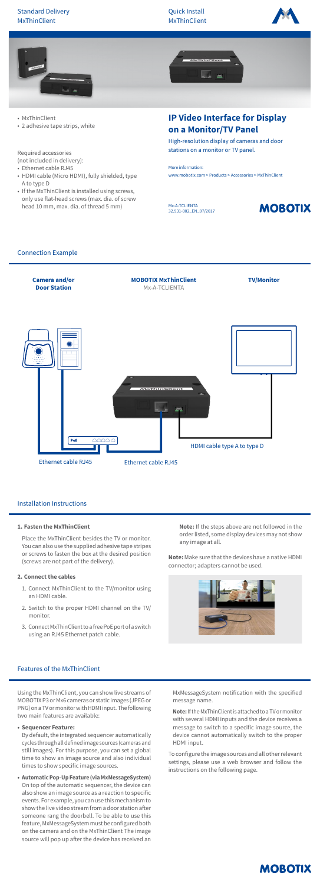Mx-A-TCLIENTA 32.931-002\_EN\_07/2017

# **MOBOTIX**





## **IP Video Interface for Display on a Monitor/TV Panel**

High-resolution display of cameras and door stations on a monitor or TV panel.

More information: www.mobotix.com > Products > Accessories > MxThinClient

• MxThinClient

• 2 adhesive tape strips, white

Required accessories (not included in delivery):

- Ethernet cable RJ45
- HDMI cable (Micro HDMI), fully shielded, type A to type D
- If the MxThinClient is installed using screws, only use flat-head screws (max. dia. of screw head 10 mm, max. dia. of thread 5 mm)

## Installation Instructions

#### **1. Fasten the MxThinClient**

Place the MxThinClient besides the TV or monitor. You can also use the supplied adhesive tape stripes or screws to fasten the box at the desired position (screws are not part of the delivery).

## **2. Connect the cables**

- 1. Connect MxThinClient to the TV/monitor using an HDMI cable.
- 2. Switch to the proper HDMI channel on the TV/ monitor.
- 3. Connect MxThinClient to a free PoE port of a switch using an RJ45 Ethernet patch cable.

**Note:** If the steps above are not followed in the order listed, some display devices may not show any image at all.

**Note:** Make sure that the devices have a native HDMI connector; adapters cannot be used.



## Connection Example



## Features of the MxThinClient

MOBOTIX P3 or Mx6 cameras or static images (JPEG or PNG) on a TV or monitor with HDMI input. The following two main features are available:

#### **• Sequencer Feature:**

By default, the integrated sequencer automatically cycles through all defined image sources (cameras and still images). For this purpose, you can set a global time to show an image source and also individual times to show specific image sources.

**• Automatic Pop-Up Feature (via MxMessageSystem)** On top of the automatic sequencer, the device can also show an image source as a reaction to specific events. For example, you can use this mechanism to show the live video stream from a door station after someone rang the doorbell. To be able to use this feature, MxMessageSystem must be configured both on the camera and on the MxThinClient The image source will pop up after the device has received an

message name.

**Note:** If the MxThinClient is attached to a TV or monitor with several HDMI inputs and the device receives a message to switch to a specific image source, the device cannot automatically switch to the proper HDMI input.

To configure the image sources and all other relevant settings, please use a web browser and follow the instructions on the following page.

# **MOBOTIX**